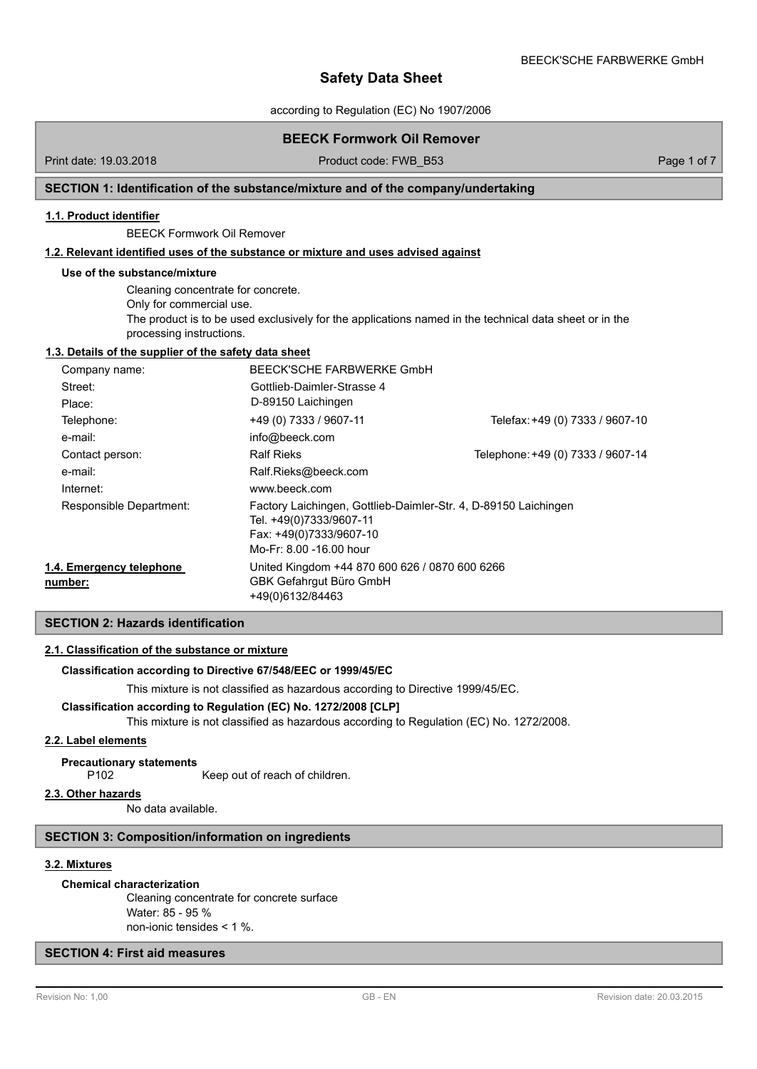according to Regulation (EC) No 1907/2006

# **BEECK Formwork Oil Remover**

Print date: 19.03.2018 **Product code: FWB\_B53** Page 1 of 7

# **SECTION 1: Identification of the substance/mixture and of the company/undertaking**

#### **1.1. Product identifier**

BEECK Formwork Oil Remover

### **1.2. Relevant identified uses of the substance or mixture and uses advised against**

#### **Use of the substance/mixture**

Cleaning concentrate for concrete. Only for commercial use. The product is to be used exclusively for the applications named in the technical data sheet or in the processing instructions.

# **1.3. Details of the supplier of the safety data sheet**

| Company name:                       |                                                                                                                                                  | BEECK'SCHE FARBWERKE GmbH         |  |
|-------------------------------------|--------------------------------------------------------------------------------------------------------------------------------------------------|-----------------------------------|--|
| Street:                             | Gottlieb-Daimler-Strasse 4                                                                                                                       |                                   |  |
| Place:                              | D-89150 Laichingen                                                                                                                               |                                   |  |
| Telephone:                          | +49 (0) 7333 / 9607-11                                                                                                                           | Telefax: +49 (0) 7333 / 9607-10   |  |
| e-mail:                             | info@beeck.com                                                                                                                                   |                                   |  |
| Contact person:                     | <b>Ralf Rieks</b>                                                                                                                                | Telephone: +49 (0) 7333 / 9607-14 |  |
| e-mail:                             | Ralf.Rieks@beeck.com                                                                                                                             |                                   |  |
| Internet:                           | www.beeck.com                                                                                                                                    |                                   |  |
| Responsible Department:             | Factory Laichingen, Gottlieb-Daimler-Str. 4, D-89150 Laichingen<br>Tel. +49(0)7333/9607-11<br>Fax: +49(0)7333/9607-10<br>Mo-Fr: 8.00 -16.00 hour |                                   |  |
| 1.4. Emergency telephone<br>number: | United Kingdom +44 870 600 626 / 0870 600 6266<br>GBK Gefahrgut Büro GmbH<br>+49(0)6132/84463                                                    |                                   |  |

# **SECTION 2: Hazards identification**

# **2.1. Classification of the substance or mixture**

# **Classification according to Directive 67/548/EEC or 1999/45/EC**

This mixture is not classified as hazardous according to Directive 1999/45/EC.

### **Classification according to Regulation (EC) No. 1272/2008 [CLP]**

This mixture is not classified as hazardous according to Regulation (EC) No. 1272/2008.

### **2.2. Label elements**

#### **Precautionary statements**

P102 Keep out of reach of children.

# **2.3. Other hazards**

No data available.

#### **SECTION 3: Composition/information on ingredients**

# **3.2. Mixtures**

#### **Chemical characterization**

Cleaning concentrate for concrete surface Water: 85 - 95 % non-ionic tensides < 1 %.

# **SECTION 4: First aid measures**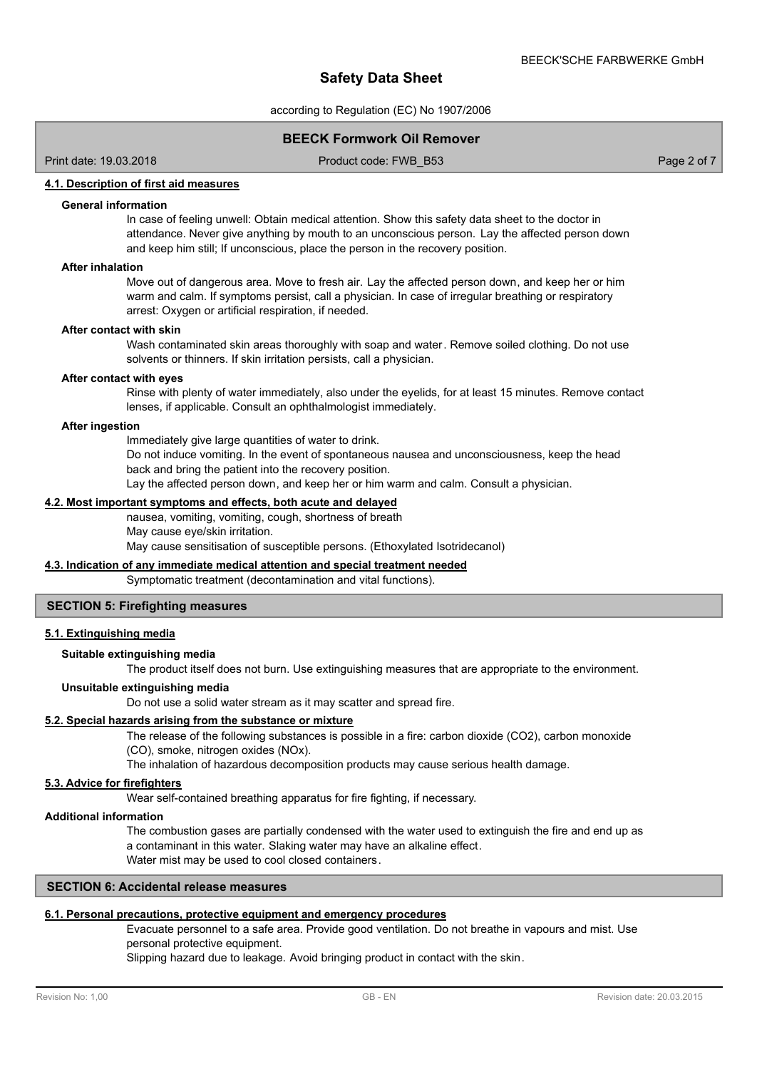according to Regulation (EC) No 1907/2006

# **BEECK Formwork Oil Remover**

Print date: 19.03.2018 Product code: FWB\_B53 Page 2 of 7

### **4.1. Description of first aid measures**

#### **General information**

In case of feeling unwell: Obtain medical attention. Show this safety data sheet to the doctor in attendance. Never give anything by mouth to an unconscious person. Lay the affected person down and keep him still; If unconscious, place the person in the recovery position.

### **After inhalation**

Move out of dangerous area. Move to fresh air. Lay the affected person down, and keep her or him warm and calm. If symptoms persist, call a physician. In case of irregular breathing or respiratory arrest: Oxygen or artificial respiration, if needed.

#### **After contact with skin**

Wash contaminated skin areas thoroughly with soap and water. Remove soiled clothing. Do not use solvents or thinners. If skin irritation persists, call a physician.

#### **After contact with eyes**

Rinse with plenty of water immediately, also under the eyelids, for at least 15 minutes. Remove contact lenses, if applicable. Consult an ophthalmologist immediately.

#### **After ingestion**

Immediately give large quantities of water to drink.

Do not induce vomiting. In the event of spontaneous nausea and unconsciousness, keep the head back and bring the patient into the recovery position.

Lay the affected person down, and keep her or him warm and calm. Consult a physician.

# **4.2. Most important symptoms and effects, both acute and delayed**

nausea, vomiting, vomiting, cough, shortness of breath May cause eye/skin irritation.

May cause sensitisation of susceptible persons. (Ethoxylated Isotridecanol)

# **4.3. Indication of any immediate medical attention and special treatment needed**

Symptomatic treatment (decontamination and vital functions).

# **SECTION 5: Firefighting measures**

#### **5.1. Extinguishing media**

### **Suitable extinguishing media**

The product itself does not burn. Use extinguishing measures that are appropriate to the environment.

#### **Unsuitable extinguishing media**

Do not use a solid water stream as it may scatter and spread fire.

#### **5.2. Special hazards arising from the substance or mixture**

The release of the following substances is possible in a fire: carbon dioxide (CO2), carbon monoxide (CO), smoke, nitrogen oxides (NOx).

The inhalation of hazardous decomposition products may cause serious health damage.

#### **5.3. Advice for firefighters**

Wear self-contained breathing apparatus for fire fighting, if necessary.

#### **Additional information**

The combustion gases are partially condensed with the water used to extinguish the fire and end up as a contaminant in this water. Slaking water may have an alkaline effect. Water mist may be used to cool closed containers.

# **SECTION 6: Accidental release measures**

# **6.1. Personal precautions, protective equipment and emergency procedures**

Evacuate personnel to a safe area. Provide good ventilation. Do not breathe in vapours and mist. Use personal protective equipment.

Slipping hazard due to leakage. Avoid bringing product in contact with the skin.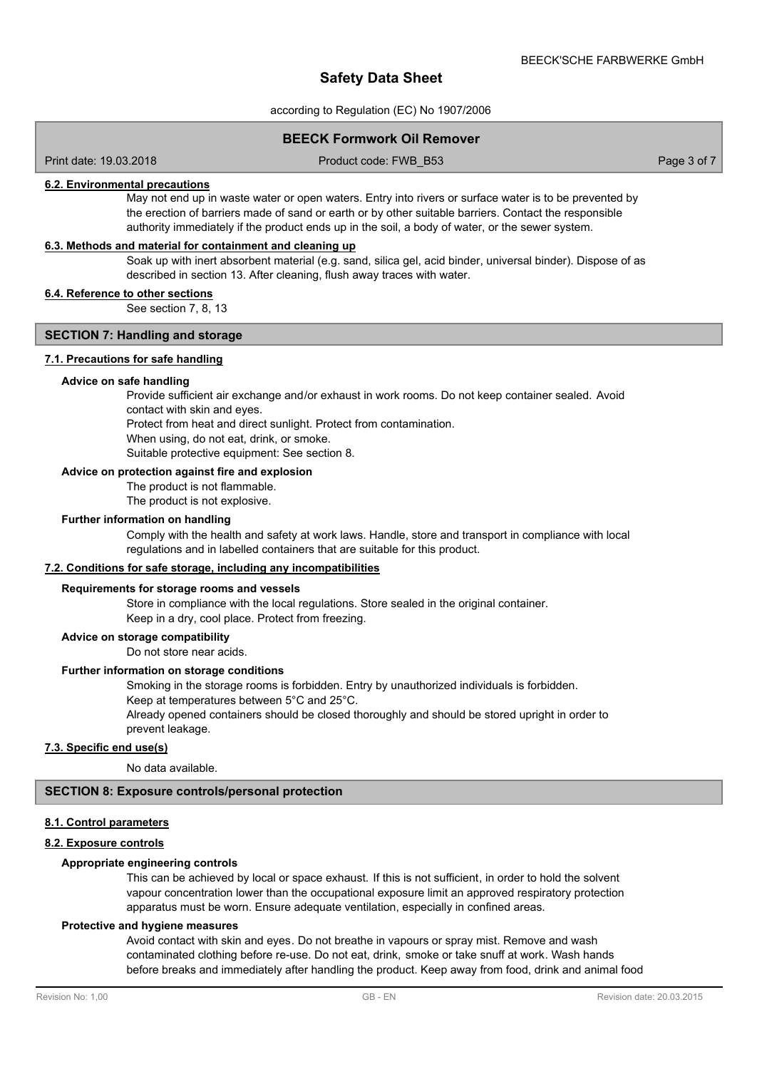according to Regulation (EC) No 1907/2006

# **BEECK Formwork Oil Remover**

Print date: 19.03.2018 Product code: FWB\_B53 Page 3 of 7

### **6.2. Environmental precautions**

May not end up in waste water or open waters. Entry into rivers or surface water is to be prevented by the erection of barriers made of sand or earth or by other suitable barriers. Contact the responsible authority immediately if the product ends up in the soil, a body of water, or the sewer system.

#### **6.3. Methods and material for containment and cleaning up**

Soak up with inert absorbent material (e.g. sand, silica gel, acid binder, universal binder). Dispose of as described in section 13. After cleaning, flush away traces with water.

# **6.4. Reference to other sections**

See section 7, 8, 13

# **SECTION 7: Handling and storage**

#### **7.1. Precautions for safe handling**

#### **Advice on safe handling**

Provide sufficient air exchange and/or exhaust in work rooms. Do not keep container sealed. Avoid contact with skin and eyes.

Protect from heat and direct sunlight. Protect from contamination.

When using, do not eat, drink, or smoke.

Suitable protective equipment: See section 8.

#### **Advice on protection against fire and explosion**

The product is not flammable.

The product is not explosive.

#### **Further information on handling**

Comply with the health and safety at work laws. Handle, store and transport in compliance with local regulations and in labelled containers that are suitable for this product.

# **7.2. Conditions for safe storage, including any incompatibilities**

#### **Requirements for storage rooms and vessels**

Store in compliance with the local regulations. Store sealed in the original container. Keep in a dry, cool place. Protect from freezing.

# **Advice on storage compatibility**

Do not store near acids.

#### **Further information on storage conditions**

Smoking in the storage rooms is forbidden. Entry by unauthorized individuals is forbidden. Keep at temperatures between 5°C and 25°C.

Already opened containers should be closed thoroughly and should be stored upright in order to prevent leakage.

### **7.3. Specific end use(s)**

No data available.

# **SECTION 8: Exposure controls/personal protection**

#### **8.1. Control parameters**

# **8.2. Exposure controls**

# **Appropriate engineering controls**

This can be achieved by local or space exhaust. If this is not sufficient, in order to hold the solvent vapour concentration lower than the occupational exposure limit an approved respiratory protection apparatus must be worn. Ensure adequate ventilation, especially in confined areas.

#### **Protective and hygiene measures**

Avoid contact with skin and eyes. Do not breathe in vapours or spray mist. Remove and wash contaminated clothing before re-use. Do not eat, drink, smoke or take snuff at work. Wash hands before breaks and immediately after handling the product. Keep away from food, drink and animal food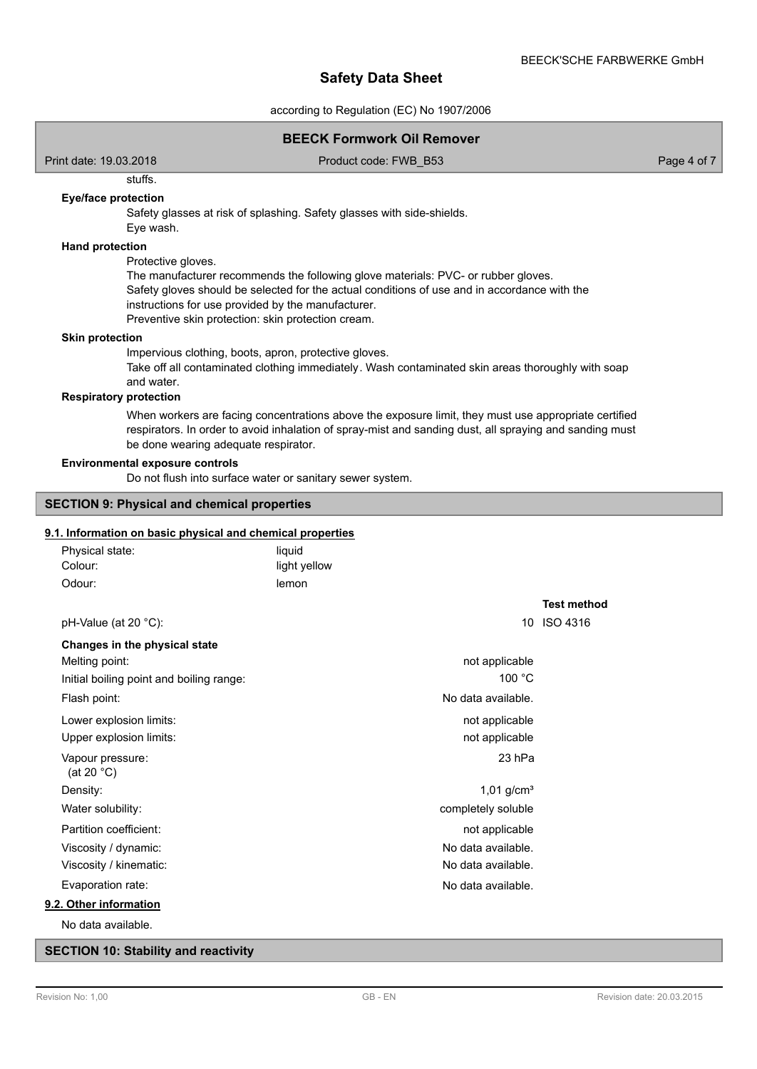according to Regulation (EC) No 1907/2006

| <b>BEECK Formwork Oil Remover</b>                                                                                                                        |                                                                                                                                                                                                           |                                   |  |
|----------------------------------------------------------------------------------------------------------------------------------------------------------|-----------------------------------------------------------------------------------------------------------------------------------------------------------------------------------------------------------|-----------------------------------|--|
| Print date: 19.03.2018                                                                                                                                   | Product code: FWB_B53                                                                                                                                                                                     | Page 4 of 7                       |  |
| stuffs.                                                                                                                                                  |                                                                                                                                                                                                           |                                   |  |
| Eye/face protection<br>Eye wash.                                                                                                                         | Safety glasses at risk of splashing. Safety glasses with side-shields.                                                                                                                                    |                                   |  |
| <b>Hand protection</b><br>Protective gloves.<br>instructions for use provided by the manufacturer.<br>Preventive skin protection: skin protection cream. | The manufacturer recommends the following glove materials: PVC- or rubber gloves.<br>Safety gloves should be selected for the actual conditions of use and in accordance with the                         |                                   |  |
| <b>Skin protection</b><br>Impervious clothing, boots, apron, protective gloves.<br>and water.<br><b>Respiratory protection</b>                           | Take off all contaminated clothing immediately. Wash contaminated skin areas thoroughly with soap<br>When workers are facing concentrations above the exposure limit, they must use appropriate certified |                                   |  |
| be done wearing adequate respirator.<br><b>Environmental exposure controls</b>                                                                           | respirators. In order to avoid inhalation of spray-mist and sanding dust, all spraying and sanding must                                                                                                   |                                   |  |
| Do not flush into surface water or sanitary sewer system.                                                                                                |                                                                                                                                                                                                           |                                   |  |
| <b>SECTION 9: Physical and chemical properties</b>                                                                                                       |                                                                                                                                                                                                           |                                   |  |
| 9.1. Information on basic physical and chemical properties                                                                                               |                                                                                                                                                                                                           |                                   |  |
| Physical state:<br>Colour:                                                                                                                               | liquid<br>light yellow                                                                                                                                                                                    |                                   |  |
| Odour:                                                                                                                                                   | lemon                                                                                                                                                                                                     |                                   |  |
| pH-Value (at 20 °C):                                                                                                                                     |                                                                                                                                                                                                           | <b>Test method</b><br>10 ISO 4316 |  |
| Changes in the physical state                                                                                                                            |                                                                                                                                                                                                           |                                   |  |
| Melting point:                                                                                                                                           | not applicable                                                                                                                                                                                            |                                   |  |
| Initial boiling point and boiling range:                                                                                                                 | 100 °C                                                                                                                                                                                                    |                                   |  |
| Flash point:                                                                                                                                             | No data available.                                                                                                                                                                                        |                                   |  |
| Lower explosion limits:                                                                                                                                  | not applicable                                                                                                                                                                                            |                                   |  |
| Upper explosion limits:                                                                                                                                  | not applicable                                                                                                                                                                                            |                                   |  |
| Vapour pressure:<br>(at 20 $^{\circ}$ C)                                                                                                                 | 23 hPa                                                                                                                                                                                                    |                                   |  |
| Density:                                                                                                                                                 | $1,01$ g/cm <sup>3</sup>                                                                                                                                                                                  |                                   |  |
| Water solubility:                                                                                                                                        | completely soluble                                                                                                                                                                                        |                                   |  |
| Partition coefficient:                                                                                                                                   | not applicable                                                                                                                                                                                            |                                   |  |
| Viscosity / dynamic:                                                                                                                                     | No data available.                                                                                                                                                                                        |                                   |  |
| Viscosity / kinematic:                                                                                                                                   | No data available.                                                                                                                                                                                        |                                   |  |
| Evaporation rate:                                                                                                                                        | No data available.                                                                                                                                                                                        |                                   |  |
| 9.2. Other information                                                                                                                                   |                                                                                                                                                                                                           |                                   |  |
| No data available.                                                                                                                                       |                                                                                                                                                                                                           |                                   |  |

**SECTION 10: Stability and reactivity**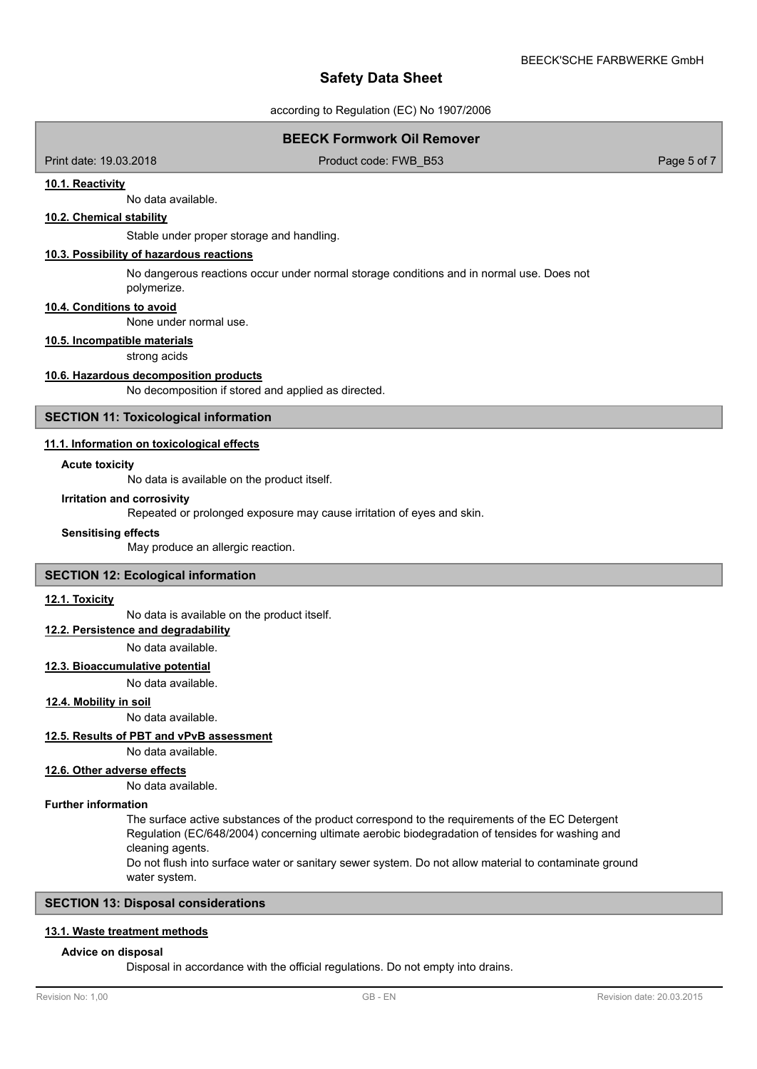according to Regulation (EC) No 1907/2006

# **BEECK Formwork Oil Remover**

Print date: 19.03.2018 Product code: FWB\_B53 Page 5 of 7

#### **10.1. Reactivity**

No data available.

# **10.2. Chemical stability**

Stable under proper storage and handling.

# **10.3. Possibility of hazardous reactions**

No dangerous reactions occur under normal storage conditions and in normal use. Does not polymerize.

#### **10.4. Conditions to avoid**

None under normal use.

#### **10.5. Incompatible materials**

strong acids

#### **10.6. Hazardous decomposition products**

No decomposition if stored and applied as directed.

#### **SECTION 11: Toxicological information**

#### **11.1. Information on toxicological effects**

#### **Acute toxicity**

No data is available on the product itself.

#### **Irritation and corrosivity**

Repeated or prolonged exposure may cause irritation of eyes and skin.

#### **Sensitising effects**

May produce an allergic reaction.

#### **SECTION 12: Ecological information**

# **12.1. Toxicity**

No data is available on the product itself.

# **12.2. Persistence and degradability**

No data available.

#### **12.3. Bioaccumulative potential**

No data available.

#### **12.4. Mobility in soil**

No data available.

### **12.5. Results of PBT and vPvB assessment**

No data available.

#### **12.6. Other adverse effects**

No data available.

#### **Further information**

The surface active substances of the product correspond to the requirements of the EC Detergent Regulation (EC/648/2004) concerning ultimate aerobic biodegradation of tensides for washing and cleaning agents.

Do not flush into surface water or sanitary sewer system. Do not allow material to contaminate ground water system.

# **SECTION 13: Disposal considerations**

#### **13.1. Waste treatment methods**

#### **Advice on disposal**

Disposal in accordance with the official regulations. Do not empty into drains.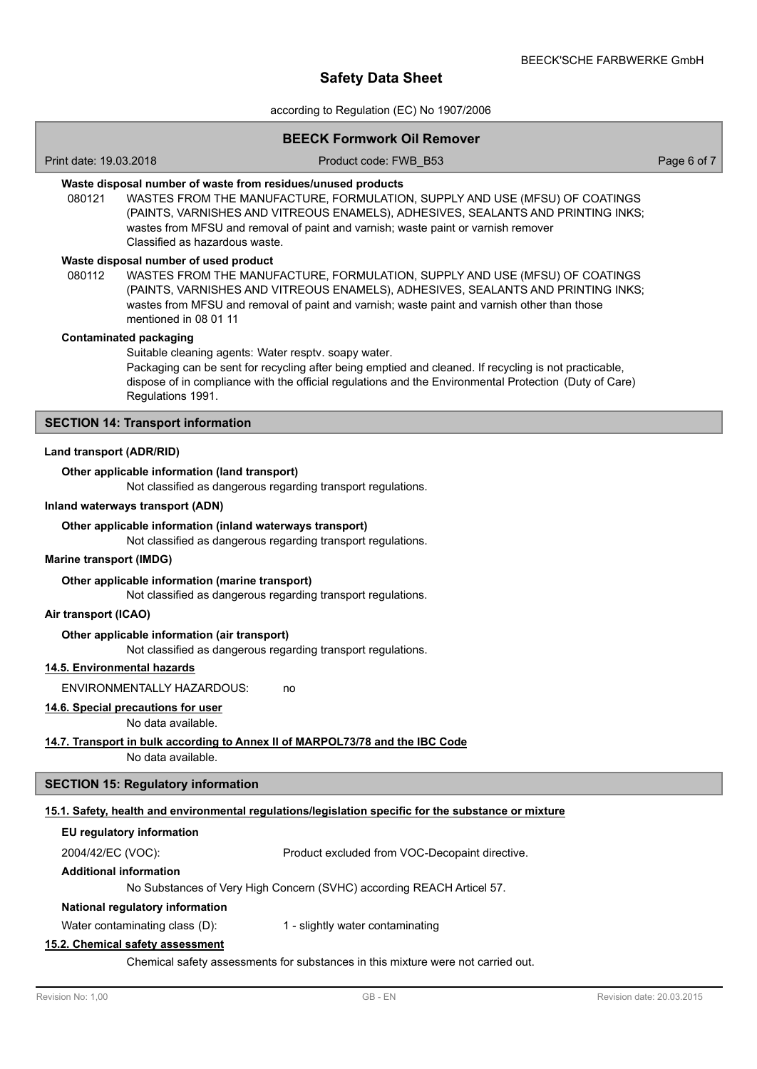according to Regulation (EC) No 1907/2006

#### **BEECK Formwork Oil Remover**

Print date: 19.03.2018 Product code: FWB\_B53 Page 6 of 7

# **Waste disposal number of waste from residues/unused products**

080121 WASTES FROM THE MANUFACTURE, FORMULATION, SUPPLY AND USE (MFSU) OF COATINGS (PAINTS, VARNISHES AND VITREOUS ENAMELS), ADHESIVES, SEALANTS AND PRINTING INKS; wastes from MFSU and removal of paint and varnish; waste paint or varnish remover Classified as hazardous waste.

#### **Waste disposal number of used product**

WASTES FROM THE MANUFACTURE, FORMULATION, SUPPLY AND USE (MFSU) OF COATINGS (PAINTS, VARNISHES AND VITREOUS ENAMELS), ADHESIVES, SEALANTS AND PRINTING INKS; wastes from MFSU and removal of paint and varnish; waste paint and varnish other than those mentioned in 08 01 11 080112

#### **Contaminated packaging**

Suitable cleaning agents: Water resptv. soapy water. Packaging can be sent for recycling after being emptied and cleaned. If recycling is not practicable, dispose of in compliance with the official regulations and the Environmental Protection (Duty of Care) Regulations 1991.

### **SECTION 14: Transport information**

#### **Land transport (ADR/RID)**

#### **Other applicable information (land transport)**

Not classified as dangerous regarding transport regulations.

#### **Inland waterways transport (ADN)**

#### **Other applicable information (inland waterways transport)**

Not classified as dangerous regarding transport regulations.

#### **Marine transport (IMDG)**

#### **Other applicable information (marine transport)**

Not classified as dangerous regarding transport regulations.

#### **Air transport (ICAO)**

#### **Other applicable information (air transport)**

Not classified as dangerous regarding transport regulations.

# **14.5. Environmental hazards**

ENVIRONMENTALLY HAZARDOUS: no

# **14.6. Special precautions for user**

No data available.

#### **14.7. Transport in bulk according to Annex II of MARPOL73/78 and the IBC Code**

No data available.

# **SECTION 15: Regulatory information**

#### **15.1. Safety, health and environmental regulations/legislation specific for the substance or mixture**

| EU regulatory information |                                                |
|---------------------------|------------------------------------------------|
| 2004/42/EC (VOC):         | Product excluded from VOC-Decopaint directive. |

#### **Additional information**

No Substances of Very High Concern (SVHC) according REACH Articel 57.

# **National regulatory information**

Water contaminating class (D): 1 - slightly water contaminating

### **15.2. Chemical safety assessment**

Chemical safety assessments for substances in this mixture were not carried out.